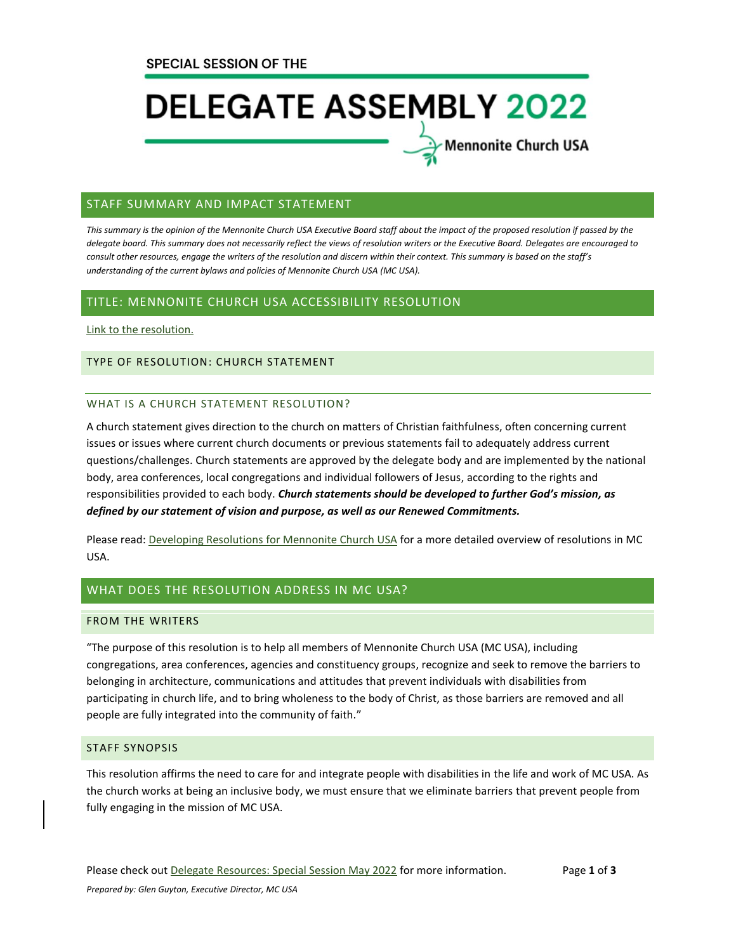# **DELEGATE ASSEMBLY 2022**

**Mennonite Church USA** 

# STAFF SUMMARY AND IMPACT STATEMENT

*This summary is the opinion of the Mennonite Church USA Executive Board staff about the impact of the proposed resolution if passed by the delegate board. This summary does not necessarily reflect the views of resolution writers or the Executive Board. Delegates are encouraged to consult other resources, engage the writers of the resolution and discern within their context. This summary is based on the staff's understanding of the current bylaws and policies of Mennonite Church USA (MC USA).*

# TITLE: MENNONITE CHURCH USA ACCESSIBILITY RESOLUTION

[Link to the resolution.](https://www.mennoniteusa.org/wp-content/uploads/2021/07/MC-USA-Accessibility-Resolution-FINAL-7-20-21.pdf)

### TYPE OF RESOLUTION: CHURCH STATEMENT

### WHAT IS A CHURCH STATEMENT RESOLUTION?

A church statement gives direction to the church on matters of Christian faithfulness, often concerning current issues or issues where current church documents or previous statements fail to adequately address current questions/challenges. Church statements are approved by the delegate body and are implemented by the national body, area conferences, local congregations and individual followers of Jesus, according to the rights and responsibilities provided to each body. *Church statements should be developed to further God's mission, as defined by our statement of vision and purpose, as well as our Renewed Commitments.*

Please read: [Developing Resolutions for Mennonite Church USA](https://www.mennoniteusa.org/wp-content/uploads/2020/06/Developing-Resolutions-for-MC-USA-Approved-January-2020.pdf) for a more detailed overview of resolutions in MC USA.

# WHAT DOES THE RESOLUTION ADDRESS IN MC USA?

# FROM THE WRITERS

"The purpose of this resolution is to help all members of Mennonite Church USA (MC USA), including congregations, area conferences, agencies and constituency groups, recognize and seek to remove the barriers to belonging in architecture, communications and attitudes that prevent individuals with disabilities from participating in church life, and to bring wholeness to the body of Christ, as those barriers are removed and all people are fully integrated into the community of faith."

# STAFF SYNOPSIS

This resolution affirms the need to care for and integrate people with disabilities in the life and work of MC USA. As the church works at being an inclusive body, we must ensure that we eliminate barriers that prevent people from fully engaging in the mission of MC USA.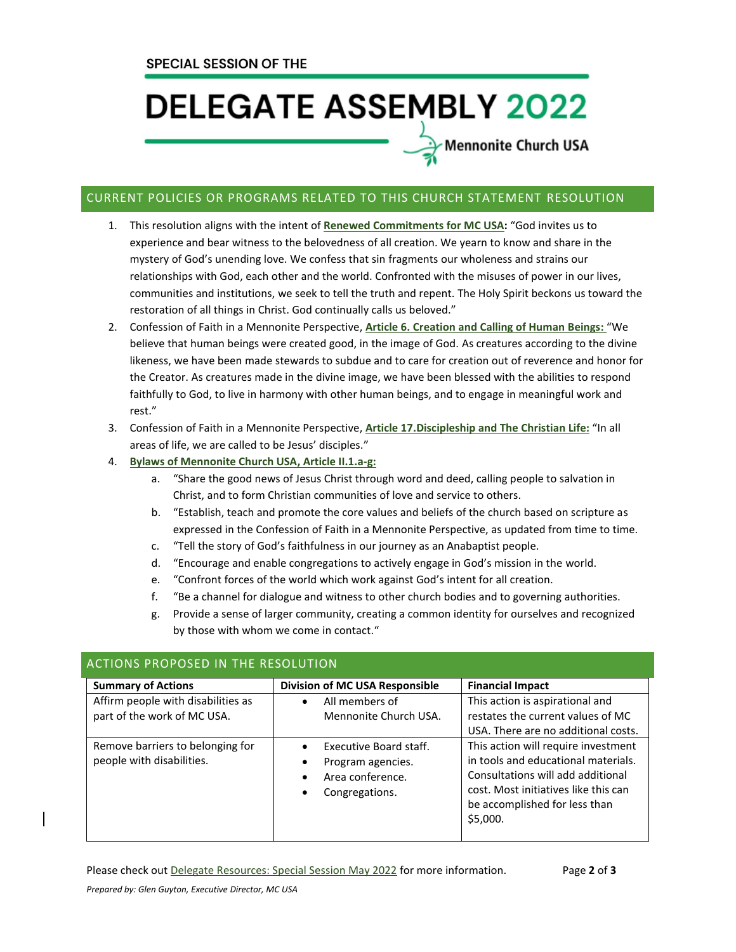# **DELEGATE ASSEMBLY 2022**

Mennonite Church USA

# CURRENT POLICIES OR PROGRAMS RELATED TO THIS CHURCH STATEMENT RESOLUTION

- 1. This resolution aligns with the intent of **[Renewed Commitments](https://www.mennoniteusa.org/resource-portal/resource/renewed-commitments-for-mc-usa/) for MC USA:** "God invites us to experience and bear witness to the belovedness of all creation. We yearn to know and share in the mystery of God's unending love. We confess that sin fragments our wholeness and strains our relationships with God, each other and the world. Confronted with the misuses of power in our lives, communities and institutions, we seek to tell the truth and repent. The Holy Spirit beckons us toward the restoration of all things in Christ. God continually calls us beloved."
- 2. Confession of Faith in a Mennonite Perspective, **[Article 6. Creation and Calling of Human Beings:](https://www.mennoniteusa.org/who-are-mennonites/what-we-believe/confession-of-faith/creation-and-calling-of-human-beings/)** "We believe that human beings were created good, in the image of God. As creatures according to the divine likeness, we have been made stewards to subdue and to care for creation out of reverence and honor for the Creator. As creatures made in the divine image, we have been blessed with the abilities to respond faithfully to God, to live in harmony with other human beings, and to engage in meaningful work and rest."
- 3. Confession of Faith in a Mennonite Perspective, **[Article 17.Discipleship and The Christian Life:](https://www.mennoniteusa.org/who-are-mennonites/what-we-believe/confession-of-faith/discipleship-and-the-christian-life/)** "In all areas of life, we are called to be Jesus' disciples."
- 4. **[Bylaws of Mennonite Church USA, Article II.1.a-g:](https://www.mennoniteusa.org/wp-content/uploads/2020/08/Bylaws-Approved-2021-Delegate-Assembly-July-10.pdf)**
	- a. "Share the good news of Jesus Christ through word and deed, calling people to salvation in Christ, and to form Christian communities of love and service to others.
	- b. "Establish, teach and promote the core values and beliefs of the church based on scripture as expressed in the Confession of Faith in a Mennonite Perspective, as updated from time to time.
	- c. "Tell the story of God's faithfulness in our journey as an Anabaptist people.
	- d. "Encourage and enable congregations to actively engage in God's mission in the world.
	- e. "Confront forces of the world which work against God's intent for all creation.
	- f. "Be a channel for dialogue and witness to other church bodies and to governing authorities.
	- g. Provide a sense of larger community, creating a common identity for ourselves and recognized by those with whom we come in contact."

| <b>Summary of Actions</b>                                         | Division of MC USA Responsible                                                    | <b>Financial Impact</b>                                                                                                                                                                              |
|-------------------------------------------------------------------|-----------------------------------------------------------------------------------|------------------------------------------------------------------------------------------------------------------------------------------------------------------------------------------------------|
| Affirm people with disabilities as<br>part of the work of MC USA. | All members of<br>$\bullet$<br>Mennonite Church USA.                              | This action is aspirational and<br>restates the current values of MC<br>USA. There are no additional costs.                                                                                          |
| Remove barriers to belonging for<br>people with disabilities.     | Executive Board staff.<br>Program agencies.<br>Area conference.<br>Congregations. | This action will require investment<br>in tools and educational materials.<br>Consultations will add additional<br>cost. Most initiatives like this can<br>be accomplished for less than<br>\$5,000. |

# ACTIONS PROPOSED IN THE RESOLUTION